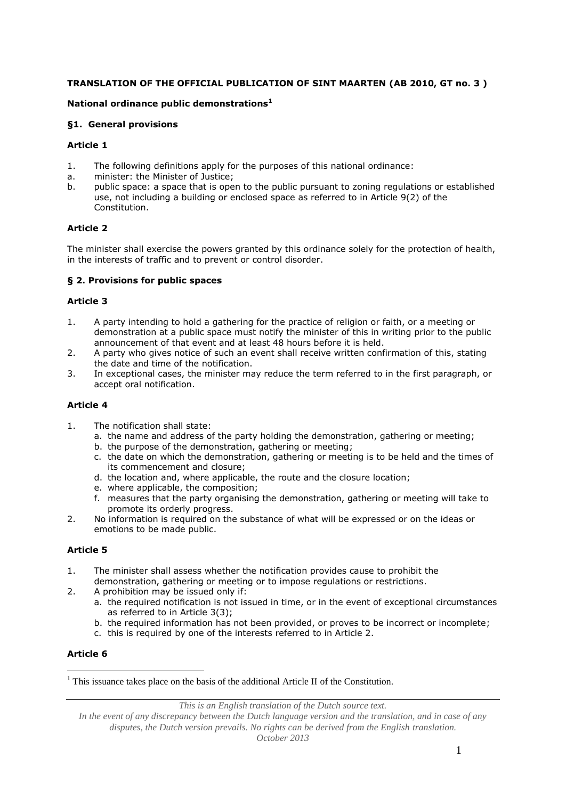# **TRANSLATION OF THE OFFICIAL PUBLICATION OF SINT MAARTEN (AB 2010, GT no. 3 )**

### **National ordinance public demonstrations<sup>1</sup>**

#### **§1. General provisions**

### **Article 1**

- 1. The following definitions apply for the purposes of this national ordinance:
- a. minister: the Minister of Justice;
- b. public space: a space that is open to the public pursuant to zoning regulations or established use, not including a building or enclosed space as referred to in Article 9(2) of the Constitution.

### **Article 2**

The minister shall exercise the powers granted by this ordinance solely for the protection of health, in the interests of traffic and to prevent or control disorder.

#### **§ 2. Provisions for public spaces**

#### **Article 3**

- 1. A party intending to hold a gathering for the practice of religion or faith, or a meeting or demonstration at a public space must notify the minister of this in writing prior to the public announcement of that event and at least 48 hours before it is held.
- 2. A party who gives notice of such an event shall receive written confirmation of this, stating the date and time of the notification.
- 3. In exceptional cases, the minister may reduce the term referred to in the first paragraph, or accept oral notification.

### **Article 4**

- 1. The notification shall state:
	- a. the name and address of the party holding the demonstration, gathering or meeting;
	- b. the purpose of the demonstration, gathering or meeting;
	- c. the date on which the demonstration, gathering or meeting is to be held and the times of its commencement and closure;
	- d. the location and, where applicable, the route and the closure location;
	- e. where applicable, the composition;
	- f. measures that the party organising the demonstration, gathering or meeting will take to promote its orderly progress.
- 2. No information is required on the substance of what will be expressed or on the ideas or emotions to be made public.

#### **Article 5**

- 1. The minister shall assess whether the notification provides cause to prohibit the demonstration, gathering or meeting or to impose regulations or restrictions.
- 2. A prohibition may be issued only if:
	- a. the required notification is not issued in time, or in the event of exceptional circumstances as referred to in Article 3(3);
	- b. the required information has not been provided, or proves to be incorrect or incomplete;
	- c. this is required by one of the interests referred to in Article 2.

#### **Article 6**

<u>.</u>

 $<sup>1</sup>$  This issuance takes place on the basis of the additional Article II of the Constitution.</sup>

*This is an English translation of the Dutch source text.*

*In the event of any discrepancy between the Dutch language version and the translation, and in case of any disputes, the Dutch version prevails. No rights can be derived from the English translation.*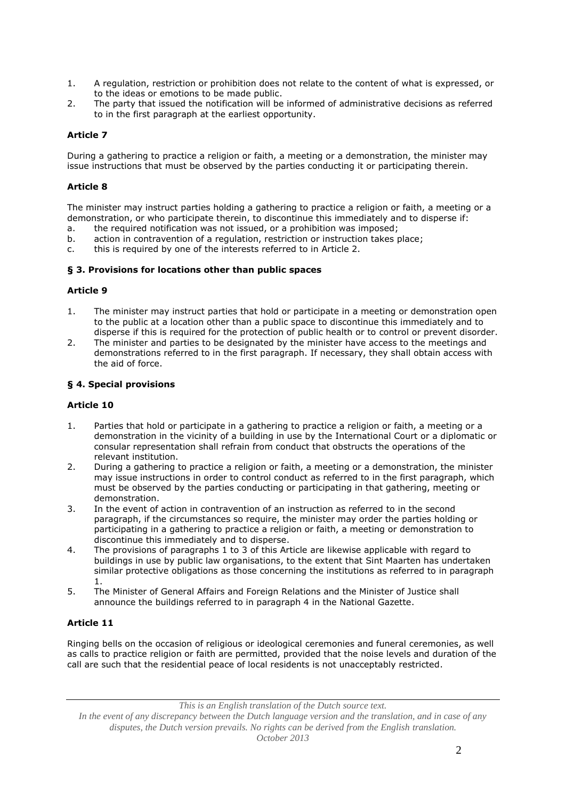- 1. A regulation, restriction or prohibition does not relate to the content of what is expressed, or to the ideas or emotions to be made public.
- 2. The party that issued the notification will be informed of administrative decisions as referred to in the first paragraph at the earliest opportunity.

### **Article 7**

During a gathering to practice a religion or faith, a meeting or a demonstration, the minister may issue instructions that must be observed by the parties conducting it or participating therein.

### **Article 8**

The minister may instruct parties holding a gathering to practice a religion or faith, a meeting or a demonstration, or who participate therein, to discontinue this immediately and to disperse if:

- a. the required notification was not issued, or a prohibition was imposed;
- b. action in contravention of a regulation, restriction or instruction takes place;
- c. this is required by one of the interests referred to in Article 2.

#### **§ 3. Provisions for locations other than public spaces**

#### **Article 9**

- 1. The minister may instruct parties that hold or participate in a meeting or demonstration open to the public at a location other than a public space to discontinue this immediately and to disperse if this is required for the protection of public health or to control or prevent disorder.
- 2. The minister and parties to be designated by the minister have access to the meetings and demonstrations referred to in the first paragraph. If necessary, they shall obtain access with the aid of force.

#### **§ 4. Special provisions**

### **Article 10**

- 1. Parties that hold or participate in a gathering to practice a religion or faith, a meeting or a demonstration in the vicinity of a building in use by the International Court or a diplomatic or consular representation shall refrain from conduct that obstructs the operations of the relevant institution.
- 2. During a gathering to practice a religion or faith, a meeting or a demonstration, the minister may issue instructions in order to control conduct as referred to in the first paragraph, which must be observed by the parties conducting or participating in that gathering, meeting or demonstration.
- 3. In the event of action in contravention of an instruction as referred to in the second paragraph, if the circumstances so require, the minister may order the parties holding or participating in a gathering to practice a religion or faith, a meeting or demonstration to discontinue this immediately and to disperse.
- 4. The provisions of paragraphs 1 to 3 of this Article are likewise applicable with regard to buildings in use by public law organisations, to the extent that Sint Maarten has undertaken similar protective obligations as those concerning the institutions as referred to in paragraph 1.
- 5. The Minister of General Affairs and Foreign Relations and the Minister of Justice shall announce the buildings referred to in paragraph 4 in the National Gazette.

### **Article 11**

Ringing bells on the occasion of religious or ideological ceremonies and funeral ceremonies, as well as calls to practice religion or faith are permitted, provided that the noise levels and duration of the call are such that the residential peace of local residents is not unacceptably restricted.

*This is an English translation of the Dutch source text.*

*In the event of any discrepancy between the Dutch language version and the translation, and in case of any disputes, the Dutch version prevails. No rights can be derived from the English translation. October 2013*